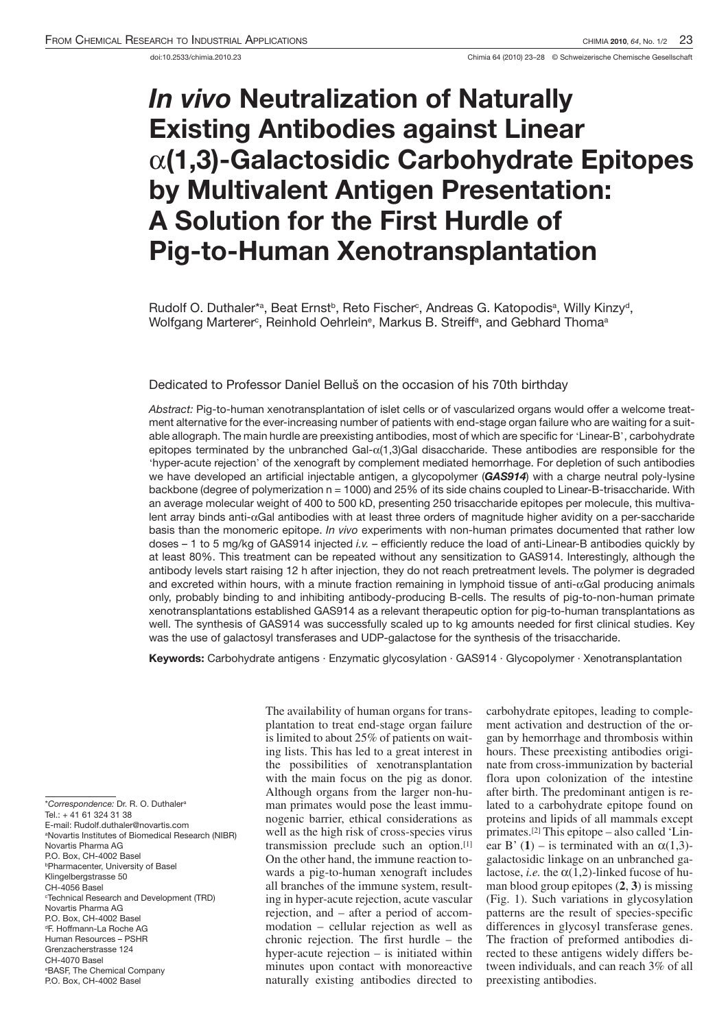## *In vivo* **Neutralization of Naturally Existing Antibodies against Linear**  a**(1,3)-Galactosidic Carbohydrate Epitopes by Multivalent Antigen Presentation: A Solution for the First Hurdle of Pig-to-Human Xenotransplantation**

Rudolf O. Duthaler\*ª, Beat Ernst<sup>b</sup>, Reto Fischer<sup>c</sup>, Andreas G. Katopodisª, Willy Kinzy<sup>d</sup>, Wolfgang Marterer°, Reinhold Oehrlein°, Markus B. Streiffª, and Gebhard Thomaª

Dedicated to Professor Daniel Belluš on the occasion of his 70th birthday

*Abstract:* Pig-to-human xenotransplantation of islet cells or of vascularized organs would offer a welcome treatment alternative for the ever-increasing number of patients with end-stage organ failure who are waiting for a suitable allograph. The main hurdle are preexisting antibodies, most of which are specific for 'Linear-B', carbohydrate epitopes terminated by the unbranched Gal- $\alpha(1,3)$ Gal disaccharide. These antibodies are responsible for the 'hyper-acute rejection' of the xenograft by complement mediated hemorrhage. For depletion of such antibodies we have developed an artificial injectable antigen, a glycopolymer (*GAS914*) with a charge neutral poly-lysine backbone (degree of polymerization n = 1000) and 25% of its side chains coupled to Linear-B-trisaccharide. With an average molecular weight of 400 to 500 kD, presenting 250 trisaccharide epitopes per molecule, this multivalent array binds anti- $\alpha$ Gal antibodies with at least three orders of magnitude higher avidity on a per-saccharide basis than the monomeric epitope. *In vivo* experiments with non-human primates documented that rather low doses – 1 to 5 mg/kg of GAS914 injected *i.v.* – efficiently reduce the load of anti-Linear-B antibodies quickly by at least 80%. This treatment can be repeated without any sensitization to GAS914. Interestingly, although the antibody levels start raising 12 h after injection, they do not reach pretreatment levels. The polymer is degraded and excreted within hours, with a minute fraction remaining in lymphoid tissue of anti- $\alpha$ Gal producing animals only, probably binding to and inhibiting antibody-producing B-cells. The results of pig-to-non-human primate xenotransplantations established GAS914 as a relevant therapeutic option for pig-to-human transplantations as well. The synthesis of GAS914 was successfully scaled up to kg amounts needed for first clinical studies. Key was the use of galactosyl transferases and UDP-galactose for the synthesis of the trisaccharide.

**Keywords:** Carbohydrate antigens · Enzymatic glycosylation · GAS914 · Glycopolymer · Xenotransplantation

\**Correspondence:* Dr. R. O. Duthalera

Tel.: + 41 61 324 31 38

The availability of human organs for transplantation to treat end-stage organ failure is limited to about 25% of patients on waiting lists. This has led to a great interest in the possibilities of xenotransplantation with the main focus on the pig as donor. Although organs from the larger non-human primates would pose the least immunogenic barrier, ethical considerations as well as the high risk of cross-species virus transmission preclude such an option.[1] On the other hand, the immune reaction towards a pig-to-human xenograft includes all branches of the immune system, resulting in hyper-acute rejection, acute vascular rejection, and – after a period of accommodation – cellular rejection as well as chronic rejection. The first hurdle – the hyper-acute rejection – is initiated within minutes upon contact with monoreactive naturally existing antibodies directed to

carbohydrate epitopes, leading to complement activation and destruction of the organ by hemorrhage and thrombosis within hours. These preexisting antibodies originate from cross-immunization by bacterial flora upon colonization of the intestine after birth. The predominant antigen is related to a carbohydrate epitope found on proteins and lipids of all mammals except primates.[2] This epitope – also called 'Linear B' (1) – is terminated with an  $\alpha(1,3)$ galactosidic linkage on an unbranched galactose, *i.e.* the  $\alpha(1,2)$ -linked fucose of human blood group epitopes (**2**, **3**) is missing (Fig. 1). Such variations in glycosylation patterns are the result of species-specific differences in glycosyl transferase genes. The fraction of preformed antibodies directed to these antigens widely differs between individuals, and can reach 3% of all preexisting antibodies.

E-mail: Rudolf.duthaler@novartis.com a Novartis Institutes of Biomedical Research (NIBR) Novartis Pharma AG P.O. Box, CH-4002 Basel bPharmacenter, University of Basel Klingelbergstrasse 50 CH-4056 Basel c Technical Research and Development (TRD) Novartis Pharma AG P.O. Box, CH-4002 Basel dF. Hoffmann-La Roche AG

Human Resources – PSHR

Grenzacherstrasse 124 CH-4070 Basel e BASF, The Chemical Company P.O. Box, CH-4002 Basel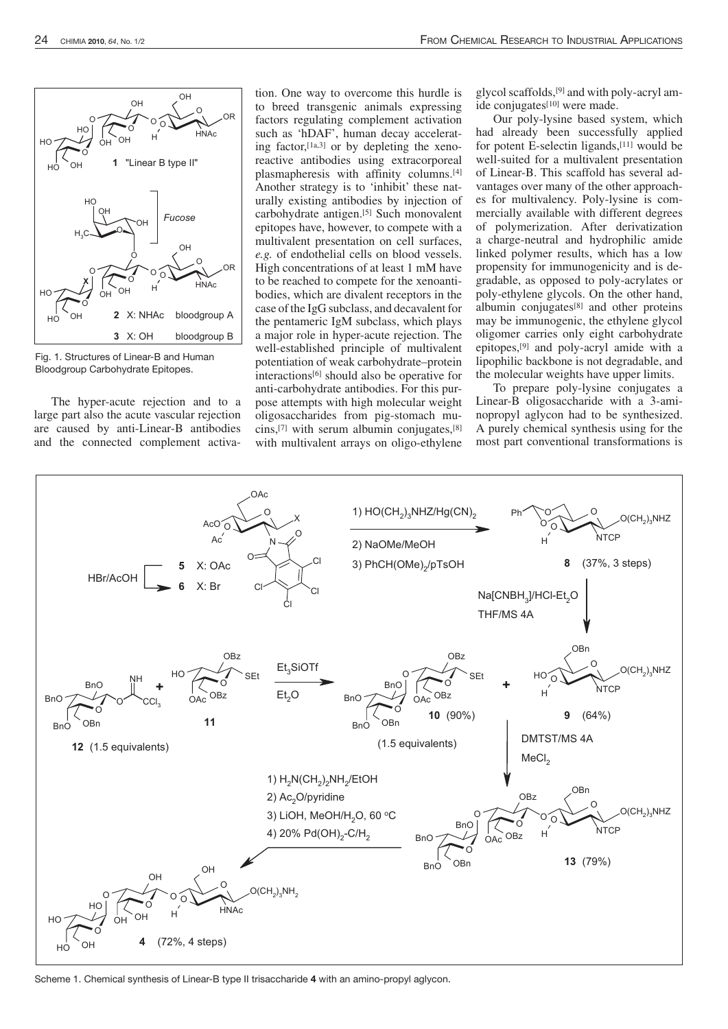

Fig. 1. Structures of Linear-B and Human Bloodgroup Carbohydrate Epitopes.

The hyper-acute rejection and to a large part also the acute vascular rejection are caused by anti-Linear-B antibodies and the connected complement activa-

tion. One way to overcome this hurdle is to breed transgenic animals expressing factors regulating complement activation such as 'hDAF', human decay accelerating factor, $[1a,3]$  or by depleting the xenoreactive antibodies using extracorporeal plasmapheresis with affinity columns.[4] Another strategy is to 'inhibit' these naturally existing antibodies by injection of carbohydrate antigen.[5] Such monovalent epitopes have, however, to compete with a multivalent presentation on cell surfaces, *e.g.* of endothelial cells on blood vessels. High concentrations of at least 1 mM have to be reached to compete for the xenoantibodies, which are divalent receptors in the case of the IgG subclass, and decavalent for the pentameric IgM subclass, which plays a major role in hyper-acute rejection. The well-established principle of multivalent potentiation of weak carbohydrate–protein interactions<sup>[6]</sup> should also be operative for anti-carbohydrate antibodies. For this purpose attempts with high molecular weight oligosaccharides from pig-stomach mucins,<sup>[7]</sup> with serum albumin conjugates, $[8]$ with multivalent arrays on oligo-ethylene glycol scaffolds,[9] and with poly-acryl amide conjugates[10] were made.

Our poly-lysine based system, which had already been successfully applied for potent E-selectin ligands,[11] would be well-suited for a multivalent presentation of Linear-B. This scaffold has several advantages over many of the other approaches for multivalency. Poly-lysine is commercially available with different degrees of polymerization. After derivatization a charge-neutral and hydrophilic amide linked polymer results, which has a low propensity for immunogenicity and is degradable, as opposed to poly-acrylates or poly-ethylene glycols. On the other hand, albumin conjugates[8] and other proteins may be immunogenic, the ethylene glycol oligomer carries only eight carbohydrate epitopes,[9] and poly-acryl amide with a lipophilic backbone is not degradable, and the molecular weights have upper limits.

To prepare poly-lysine conjugates a Linear-B oligosaccharide with a 3-aminopropyl aglycon had to be synthesized. A purely chemical synthesis using for the most part conventional transformations is



Scheme 1. Chemical synthesis of Linear-B type II trisaccharide **4** with an amino-propyl aglycon.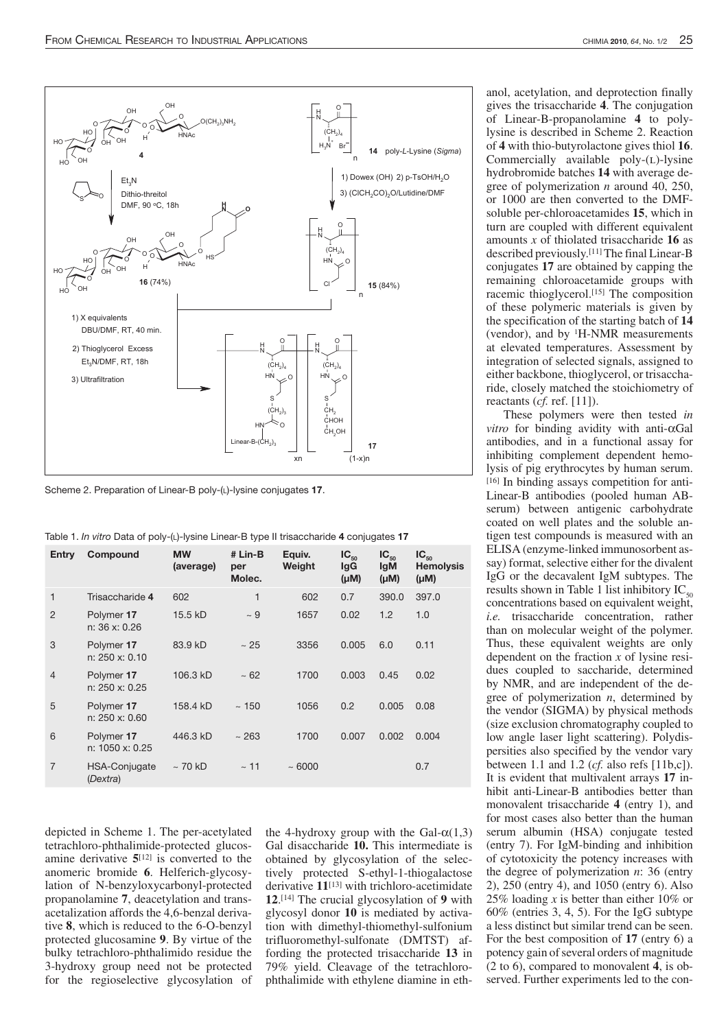

Scheme 2. Preparation of Linear-B poly-(l)-lysine conjugates **17**.

Table 1. *In vitro* Data of poly-(l)-lysine Linear-B type II trisaccharide **4** conjugates **17**

| Entry          | Compound                      | <b>MW</b><br>(average) | # Lin-B<br>per<br>Molec. | Equiv.<br>Weight | $IC_{50}$<br><b>IgG</b><br>$(\mu M)$ | $IC_{50}$<br><b>IgM</b><br>$(\mu M)$ | $IC_{50}$<br><b>Hemolysis</b><br>$(\mu M)$ |
|----------------|-------------------------------|------------------------|--------------------------|------------------|--------------------------------------|--------------------------------------|--------------------------------------------|
| 1              | Trisaccharide 4               | 602                    | 1                        | 602              | 0.7                                  | 390.0                                | 397.0                                      |
| $\overline{2}$ | Polymer 17<br>n: 36 x: 0.26   | 15.5 kD                | $\sim 9$                 | 1657             | 0.02                                 | 1.2                                  | 1.0                                        |
| 3              | Polymer 17<br>n: 250 x: 0.10  | 83.9 kD                | $\sim 25$                | 3356             | 0.005                                | 6.0                                  | 0.11                                       |
| $\overline{4}$ | Polymer 17<br>n: 250 x: 0.25  | 106.3 kD               | $~1$ – 62                | 1700             | 0.003                                | 0.45                                 | 0.02                                       |
| 5              | Polymer 17<br>n: 250 x: 0.60  | 158.4 kD               | ~150                     | 1056             | 0.2                                  | 0.005                                | 0.08                                       |
| 6              | Polymer 17<br>n: 1050 x: 0.25 | 446.3 kD               | ~263                     | 1700             | 0.007                                | 0.002                                | 0.004                                      |
| $\overline{7}$ | HSA-Conjugate<br>(Dextra)     | $\sim$ 70 kD           | $~\sim$ 11               | ~1000            |                                      |                                      | 0.7                                        |

depicted in Scheme 1. The per-acetylated tetrachloro-phthalimide-protected glucosamine derivative **5**[12] is converted to the anomeric bromide **6**. Helferich-glycosylation of N-benzyloxycarbonyl-protected propanolamine **7**, deacetylation and transacetalization affords the 4,6-benzal derivative **8**, which is reduced to the 6-O-benzyl protected glucosamine **9**. By virtue of the bulky tetrachloro-phthalimido residue the 3-hydroxy group need not be protected for the regioselective glycosylation of the 4-hydroxy group with the Gal- $\alpha(1,3)$ Gal disaccharide **10.** This intermediate is obtained by glycosylation of the selectively protected S-ethyl-1-thiogalactose derivative **11**[13] with trichloro-acetimidate **12**. [14] The crucial glycosylation of **9** with glycosyl donor **10** is mediated by activation with dimethyl-thiomethyl-sulfonium trifluoromethyl-sulfonate (DMTST) affording the protected trisaccharide **13** in 79% yield. Cleavage of the tetrachlorophthalimide with ethylene diamine in eth-

anol, acetylation, and deprotection finally gives the trisaccharide **4**. The conjugation of Linear-B-propanolamine **4** to polylysine is described in Scheme 2. Reaction of **4** with thio-butyrolactone gives thiol **16**. Commercially available  $poly-L)$ -lysine hydrobromide batches **14** with average degree of polymerization *n* around 40, 250, or 1000 are then converted to the DMFsoluble per-chloroacetamides **15**, which in turn are coupled with different equivalent amounts *x* of thiolated trisaccharide **16** as described previously.[11] The final Linear-B conjugates **17** are obtained by capping the remaining chloroacetamide groups with racemic thioglycerol.[15] The composition of these polymeric materials is given by the specification of the starting batch of **14** (vendor), and by  ${}^{1}$ H-NMR measurements at elevated temperatures. Assessment by integration of selected signals, assigned to either backbone, thioglycerol, or trisaccharide, closely matched the stoichiometry of reactants (*cf.* ref. [11]).

These polymers were then tested *in vitro* for binding avidity with anti- $\alpha$ Gal antibodies, and in a functional assay for inhibiting complement dependent hemolysis of pig erythrocytes by human serum. [16] In binding assays competition for anti-Linear-B antibodies (pooled human ABserum) between antigenic carbohydrate coated on well plates and the soluble antigen test compounds is measured with an ELISA (enzyme-linked immunosorbent assay) format, selective either for the divalent IgG or the decavalent IgM subtypes. The results shown in Table 1 list inhibitory  $IC_{50}$ concentrations based on equivalent weight, *i.e.* trisaccharide concentration, rather than on molecular weight of the polymer. Thus, these equivalent weights are only dependent on the fraction *x* of lysine residues coupled to saccharide, determined by NMR, and are independent of the degree of polymerization *n*, determined by the vendor (SIGMA) by physical methods (size exclusion chromatography coupled to low angle laser light scattering). Polydispersities also specified by the vendor vary between 1.1 and 1.2 (*cf.* also refs [11b,c]). It is evident that multivalent arrays **17** inhibit anti-Linear-B antibodies better than monovalent trisaccharide **4** (entry 1), and for most cases also better than the human serum albumin (HSA) conjugate tested (entry 7). For IgM-binding and inhibition of cytotoxicity the potency increases with the degree of polymerization *n*: 36 (entry 2), 250 (entry 4), and 1050 (entry 6). Also 25% loading *x* is better than either 10% or 60% (entries 3, 4, 5). For the IgG subtype a less distinct but similar trend can be seen. For the best composition of **17** (entry 6) a potency gain of several orders of magnitude (2 to 6), compared to monovalent **4**, is observed. Further experiments led to the con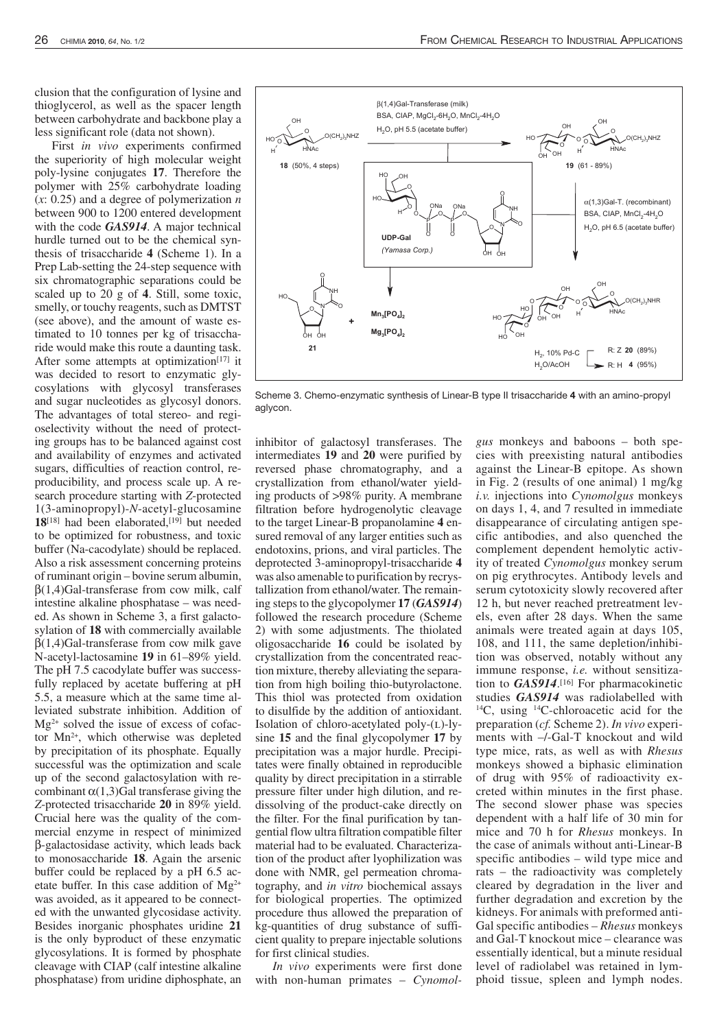clusion that the configuration of lysine and thioglycerol, as well as the spacer length between carbohydrate and backbone play a less significant role (data not shown).

First *in vivo* experiments confirmed the superiority of high molecular weight poly-lysine conjugates **17**. Therefore the polymer with 25% carbohydrate loading (*x*: 0.25) and a degree of polymerization *n* between 900 to 1200 entered development with the code *GAS914*. A major technical hurdle turned out to be the chemical synthesis of trisaccharide **4** (Scheme 1). In a Prep Lab-setting the 24-step sequence with six chromatographic separations could be scaled up to 20 g of **4**. Still, some toxic, smelly, or touchy reagents, such as DMTST (see above), and the amount of waste estimated to 10 tonnes per kg of trisaccharide would make this route a daunting task. After some attempts at optimization $[17]$  it was decided to resort to enzymatic glycosylations with glycosyl transferases and sugar nucleotides as glycosyl donors. The advantages of total stereo- and regioselectivity without the need of protecting groups has to be balanced against cost and availability of enzymes and activated sugars, difficulties of reaction control, reproducibility, and process scale up. A research procedure starting with *Z*-protected 1(3-aminopropyl)-*N*-acetyl-glucosamine **18**[18] had been elaborated,[19] but needed to be optimized for robustness, and toxic buffer (Na-cacodylate) should be replaced. Also a risk assessment concerning proteins of ruminant origin – bovine serum albumin, β(1,4)Gal-transferase from cow milk, calf intestine alkaline phosphatase – was needed. As shown in Scheme 3, a first galactosylation of **18** with commercially available  $β(1,4)G$ al-transferase from cow milk gave N-acetyl-lactosamine **19** in 61–89% yield. The pH 7.5 cacodylate buffer was successfully replaced by acetate buffering at pH 5.5, a measure which at the same time alleviated substrate inhibition. Addition of  $Mg^{2+}$  solved the issue of excess of cofactor Mn2+, which otherwise was depleted by precipitation of its phosphate. Equally successful was the optimization and scale up of the second galactosylation with recombinant  $\alpha(1,3)$ Gal transferase giving the *Z*-protected trisaccharide **20** in 89% yield. Crucial here was the quality of the commercial enzyme in respect of minimized β-galactosidase activity, which leads back to monosaccharide **18**. Again the arsenic buffer could be replaced by a pH 6.5 acetate buffer. In this case addition of  $Mg^{2+}$ was avoided, as it appeared to be connected with the unwanted glycosidase activity. Besides inorganic phosphates uridine **21** is the only byproduct of these enzymatic glycosylations. It is formed by phosphate cleavage with CIAP (calf intestine alkaline phosphatase) from uridine diphosphate, an



Scheme 3. Chemo-enzymatic synthesis of Linear-B type II trisaccharide **4** with an amino-propyl aglycon.

inhibitor of galactosyl transferases. The intermediates **19** and **20** were purified by reversed phase chromatography, and a crystallization from ethanol/water yielding products of >98% purity. A membrane filtration before hydrogenolytic cleavage to the target Linear-B propanolamine **4** ensured removal of any larger entities such as endotoxins, prions, and viral particles. The deprotected 3-aminopropyl-trisaccharide **4** was also amenable to purification by recrystallization from ethanol/water. The remaining steps to the glycopolymer **17** (*GAS914*) followed the research procedure (Scheme 2) with some adjustments. The thiolated oligosaccharide **16** could be isolated by crystallization from the concentrated reaction mixture, thereby alleviating the separation from high boiling thio-butyrolactone. This thiol was protected from oxidation to disulfide by the addition of antioxidant. Isolation of chloro-acetylated poly- $(L)$ -lysine **15** and the final glycopolymer **17** by precipitation was a major hurdle. Precipitates were finally obtained in reproducible quality by direct precipitation in a stirrable pressure filter under high dilution, and redissolving of the product-cake directly on the filter. For the final purification by tangential flow ultra filtration compatible filter material had to be evaluated. Characterization of the product after lyophilization was done with NMR, gel permeation chromatography, and *in vitro* biochemical assays for biological properties. The optimized procedure thus allowed the preparation of kg-quantities of drug substance of sufficient quality to prepare injectable solutions for first clinical studies.

*In vivo* experiments were first done with non-human primates – *Cynomol-*

*gus* monkeys and baboons – both species with preexisting natural antibodies against the Linear-B epitope. As shown in Fig. 2 (results of one animal) 1 mg/kg *i.v.* injections into *Cynomolgus* monkeys on days 1, 4, and 7 resulted in immediate disappearance of circulating antigen specific antibodies, and also quenched the complement dependent hemolytic activity of treated *Cynomolgus* monkey serum on pig erythrocytes. Antibody levels and serum cytotoxicity slowly recovered after 12 h, but never reached pretreatment levels, even after 28 days. When the same animals were treated again at days 105, 108, and 111, the same depletion/inhibition was observed, notably without any immune response, *i.e.* without sensitization to *GAS914*.[16] For pharmacokinetic studies *GAS914* was radiolabelled with <sup>14</sup>C, using <sup>14</sup>C-chloroacetic acid for the preparation (*cf.* Scheme 2). *In vivo* experiments with –/-Gal-T knockout and wild type mice, rats, as well as with *Rhesus* monkeys showed a biphasic elimination of drug with 95% of radioactivity excreted within minutes in the first phase. The second slower phase was species dependent with a half life of 30 min for mice and 70 h for *Rhesus* monkeys. In the case of animals without anti-Linear-B specific antibodies – wild type mice and rats – the radioactivity was completely cleared by degradation in the liver and further degradation and excretion by the kidneys. For animals with preformed anti-Gal specific antibodies – *Rhesus* monkeys and Gal-T knockout mice – clearance was essentially identical, but a minute residual level of radiolabel was retained in lymphoid tissue, spleen and lymph nodes.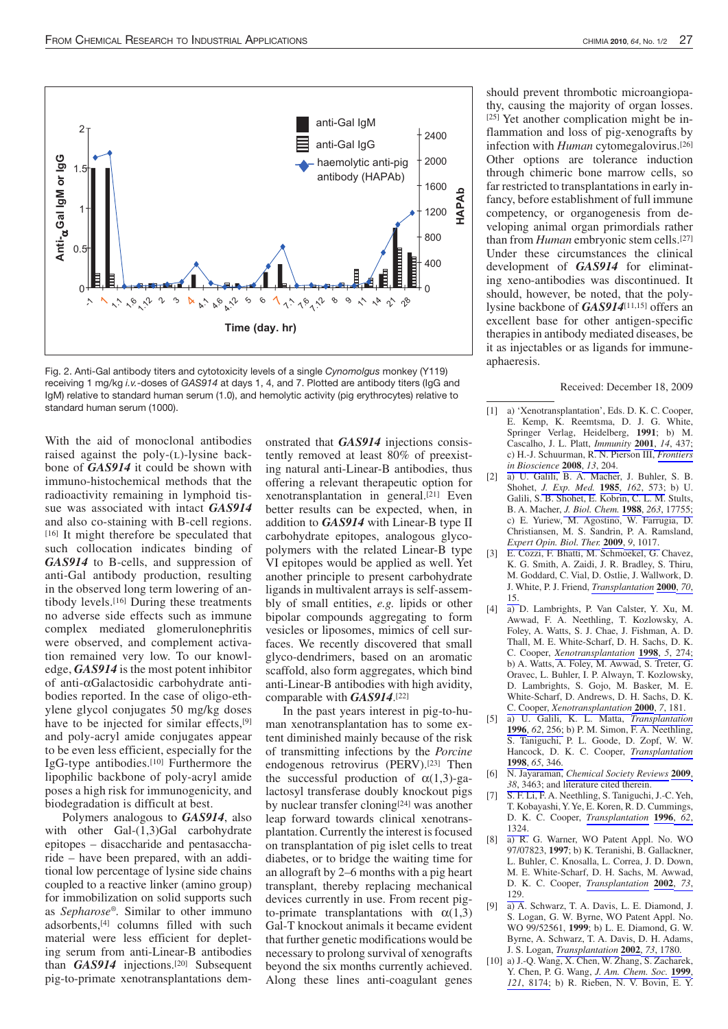

Fig. 2. Anti-Gal antibody titers and cytotoxicity levels of a single *Cynomolgus* monkey (Y119) receiving 1 mg/kg *i.v.*-doses of *GAS914* at days 1, 4, and 7. Plotted are antibody titers (IgG and IgM) relative to standard human serum (1.0), and hemolytic activity (pig erythrocytes) relative to standard human serum (1000).

With the aid of monoclonal antibodies raised against the poly- $(L)$ -lysine backbone of *GAS914* it could be shown with immuno-histochemical methods that the radioactivity remaining in lymphoid tissue was associated with intact *GAS914* and also co-staining with B-cell regions. [16] It might therefore be speculated that such collocation indicates binding of *GAS914* to B-cells, and suppression of anti-Gal antibody production, resulting in the observed long term lowering of antibody levels.[16] During these treatments no adverse side effects such as immune complex mediated glomerulonephritis were observed, and complement activation remained very low. To our knowledge, *GAS914* is the most potent inhibitor of anti-aGalactosidic carbohydrate antibodies reported. In the case of oligo-ethylene glycol conjugates 50 mg/kg doses have to be injected for similar effects,<sup>[9]</sup> and poly-acryl amide conjugates appear to be even less efficient, especially for the IgG-type antibodies.[10] Furthermore the lipophilic backbone of poly-acryl amide poses a high risk for immunogenicity, and biodegradation is difficult at best.

Polymers analogous to *GAS914*, also with other Gal-(1,3)Gal carbohydrate epitopes – disaccharide and pentasaccharide – have been prepared, with an additional low percentage of lysine side chains coupled to a reactive linker (amino group) for immobilization on solid supports such as *Sepharose®.* Similar to other immuno adsorbents,[4] columns filled with such material were less efficient for depleting serum from anti-Linear-B antibodies than **GAS914** injections.<sup>[20]</sup> Subsequent pig-to-primate xenotransplantations demonstrated that *GAS914* injections consistently removed at least 80% of preexisting natural anti-Linear-B antibodies, thus offering a relevant therapeutic option for xenotransplantation in general.[21] Even better results can be expected, when, in addition to *GAS914* with Linear-B type II carbohydrate epitopes, analogous glycopolymers with the related Linear-B type VI epitopes would be applied as well. Yet another principle to present carbohydrate ligands in multivalent arrays is self-assembly of small entities, *e.g.* lipids or other bipolar compounds aggregating to form vesicles or liposomes, mimics of cell surfaces. We recently discovered that small glyco-dendrimers, based on an aromatic scaffold, also form aggregates, which bind anti-Linear-B antibodies with high avidity, comparable with *GAS914*. [22]

In the past years interest in pig-to-human xenotransplantation has to some extent diminished mainly because of the risk of transmitting infections by the *Porcine* endogenous retrovirus (PERV).<sup>[23]</sup> Then the successful production of  $\alpha(1,3)$ -galactosyl transferase doubly knockout pigs by nuclear transfer cloning<sup>[24]</sup> was another leap forward towards clinical xenotransplantation. Currently the interest is focused on transplantation of pig islet cells to treat diabetes, or to bridge the waiting time for an allograft by 2–6 months with a pig heart transplant, thereby replacing mechanical devices currently in use. From recent pigto-primate transplantations with  $\alpha(1,3)$ Gal-T knockout animals it became evident that further genetic modifications would be necessary to prolong survival of xenografts beyond the six months currently achieved. Along these lines anti-coagulant genes

should prevent thrombotic microangiopathy, causing the majority of organ losses. [25] Yet another complication might be inflammation and loss of pig-xenografts by infection with *Human* cytomegalovirus.[26] Other options are tolerance induction through chimeric bone marrow cells, so far restricted to transplantations in early infancy, before establishment of full immune competency, or organogenesis from developing animal organ primordials rather than from *Human* embryonic stem cells.[27] Under these circumstances the clinical development of *GAS914* for eliminating xeno-antibodies was discontinued. It should, however, be noted, that the polylysine backbone of *GAS914*[11,15] offers an excellent base for other antigen-specific therapies in antibody mediated diseases, be it as injectables or as ligands for immuneaphaeresis.

Received: December 18, 2009

- [1] a) 'Xenotransplantation', Eds. D. K. C. Cooper, E. Kemp, K. Reemtsma, D. J. G. White, Springer Verlag, Heidelberg, **1991**; b) M. Cascalho, J. L. Platt, *[Immunity](http://www.ingentaconnect.com/content/external-references?article=1074-7613(2001)14L.437[aid=1838764])* **[2001](http://www.ingentaconnect.com/content/external-references?article=1074-7613(2001)14L.437[aid=1838764])**, *14*[, 437;](http://www.ingentaconnect.com/content/external-references?article=1074-7613(2001)14L.437[aid=1838764])  c) H.-J. Schuurman, R. N. Pierson III, *[Frontiers](http://www.ingentaconnect.com/content/external-references?article=1093-9946(2008)13L.204[aid=9131999])  [in Bioscience](http://www.ingentaconnect.com/content/external-references?article=1093-9946(2008)13L.204[aid=9131999])* **[2008](http://www.ingentaconnect.com/content/external-references?article=1093-9946(2008)13L.204[aid=9131999])**, *13*[, 204.](http://www.ingentaconnect.com/content/external-references?article=1093-9946(2008)13L.204[aid=9131999])
- [2] a) U. Galili, B. A. Macher, J. Buhler, S. B. Shohet, *[J. Exp. Med.](http://www.ingentaconnect.com/content/external-references?article=0022-1007(1985)162L.573[aid=2261122])* **[1985](http://www.ingentaconnect.com/content/external-references?article=0022-1007(1985)162L.573[aid=2261122])**, *162*[, 573;](http://www.ingentaconnect.com/content/external-references?article=0022-1007(1985)162L.573[aid=2261122]) b) U. Galili, S. B. Shohet, E. Kobrin, C. L. M. Stults, B. A. Macher, *[J. Biol. Chem.](http://www.ingentaconnect.com/content/external-references?article=0021-9258(1988)263L.17755[aid=550776])* **[1988](http://www.ingentaconnect.com/content/external-references?article=0021-9258(1988)263L.17755[aid=550776])**, *263*[, 17755;](http://www.ingentaconnect.com/content/external-references?article=0021-9258(1988)263L.17755[aid=550776])  c) E. Yuriew, M. Agostino, W. Farrugia, D. Christiansen, M. S. Sandrin, P. A. Ramsland, *[Expert Opin. Biol. Ther.](http://www.ingentaconnect.com/content/external-references?article=1471-2598(2009)9L.1017[aid=9131998])* **[2009](http://www.ingentaconnect.com/content/external-references?article=1471-2598(2009)9L.1017[aid=9131998])**, *9*[, 1017.](http://www.ingentaconnect.com/content/external-references?article=1471-2598(2009)9L.1017[aid=9131998])
- [3] E. Cozzi, F. Bhatti, M. Schmoekel, G. Chavez, K. G. Smith, A. Zaidi, J. R. Bradley, S. Thiru, M. Goddard, C. Vial, D. Ostlie, J. Wallwork, D. J. White, P. J. Friend, *[Transplantation](http://www.ingentaconnect.com/content/external-references?article=0041-1337(2000)70L.15[aid=3518360])* **[2000](http://www.ingentaconnect.com/content/external-references?article=0041-1337(2000)70L.15[aid=3518360])**, *[70](http://www.ingentaconnect.com/content/external-references?article=0041-1337(2000)70L.15[aid=3518360])*, [15.](http://www.ingentaconnect.com/content/external-references?article=0041-1337(2000)70L.15[aid=3518360])
- [4] a) D. Lambrights, P. Van Calster, Y. Xu, M. Awwad, F. A. Neethling, T. Kozlowsky, A. Foley, A. Watts, S. J. Chae, J. Fishman, A. D. Thall, M. E. White-Scharf, D. H. Sachs, D. K. C. Cooper, *[Xenotransplantation](http://www.ingentaconnect.com/content/external-references?article=0908-665x(1998)5L.274[aid=9131997])* **[1998](http://www.ingentaconnect.com/content/external-references?article=0908-665x(1998)5L.274[aid=9131997])**, *5*[, 274;](http://www.ingentaconnect.com/content/external-references?article=0908-665x(1998)5L.274[aid=9131997])  b) A. Watts, A. Foley, M. Awwad, S. Treter, G. Oravec, L. Buhler, I. P. Alwayn, T. Kozlowsky, D. Lambrights, S. Gojo, M. Basker, M. E. White-Scharf, D. Andrews, D. H. Sachs, D. K. C. Cooper, *[Xenotransplantation](http://www.ingentaconnect.com/content/external-references?article=0908-665x(2000)7L.181[aid=2401092])* **[2000](http://www.ingentaconnect.com/content/external-references?article=0908-665x(2000)7L.181[aid=2401092])**, *7*[, 181.](http://www.ingentaconnect.com/content/external-references?article=0908-665x(2000)7L.181[aid=2401092])
- [5] a) U. Galili, K. L. Matta, *[Transplantation](http://www.ingentaconnect.com/content/external-references?article=0041-1337(1996)62L.256[aid=9131996])* **[1996](http://www.ingentaconnect.com/content/external-references?article=0041-1337(1996)62L.256[aid=9131996])**, *62*[, 256;](http://www.ingentaconnect.com/content/external-references?article=0041-1337(1996)62L.256[aid=9131996]) b) P. M. Simon, F. A. Neethling, S. Taniguchi, P. L. Goode, D. Zopf, W. W. Hancock, D. K. C. Cooper, *[Transplantation](http://www.ingentaconnect.com/content/external-references?article=0041-1337(1998)65L.346[aid=550784])*  **[1998](http://www.ingentaconnect.com/content/external-references?article=0041-1337(1998)65L.346[aid=550784])**, *65*[, 346.](http://www.ingentaconnect.com/content/external-references?article=0041-1337(1998)65L.346[aid=550784])
- [6] N. Jayaraman, *[Chemical Society Reviews](http://www.ingentaconnect.com/content/external-references?article=0306-0012(2009)38L.3463[aid=9131995])* **[2009](http://www.ingentaconnect.com/content/external-references?article=0306-0012(2009)38L.3463[aid=9131995])**[,](http://www.ingentaconnect.com/content/external-references?article=0306-0012(2009)38L.3463[aid=9131995])  *38*[, 3463;](http://www.ingentaconnect.com/content/external-references?article=0306-0012(2009)38L.3463[aid=9131995]) and literature cited therein.
- [7] S. F. Li, F. A. Neethling, S. Taniguchi, J.-C. Yeh, T. Kobayashi, Y. Ye, E. Koren, R. D. Cummings, D. K. C. Cooper, *[Transplantation](http://www.ingentaconnect.com/content/external-references?article=0041-1337(1996)62L.1324[aid=9131994])* **[1996](http://www.ingentaconnect.com/content/external-references?article=0041-1337(1996)62L.1324[aid=9131994])**, *[62](http://www.ingentaconnect.com/content/external-references?article=0041-1337(1996)62L.1324[aid=9131994])*, [1324.](http://www.ingentaconnect.com/content/external-references?article=0041-1337(1996)62L.1324[aid=9131994])
- [8] a) R. G. Warner, WO Patent Appl. No. WO 97/07823, **1997**; b) K. Teranishi, B. Gallackner, L. Buhler, C. Knosalla, L. Correa, J. D. Down, M. E. White-Scharf, D. H. Sachs, M. Awwad, D. K. C. Cooper, *[Transplantation](http://www.ingentaconnect.com/content/external-references?article=0041-1337(2002)73L.129[aid=9131993])* **[2002](http://www.ingentaconnect.com/content/external-references?article=0041-1337(2002)73L.129[aid=9131993])**, *[73](http://www.ingentaconnect.com/content/external-references?article=0041-1337(2002)73L.129[aid=9131993])*, [129.](http://www.ingentaconnect.com/content/external-references?article=0041-1337(2002)73L.129[aid=9131993])
- [9] a) A. Schwarz, T. A. Davis, L. E. Diamond, J. S. Logan, G. W. Byrne, WO Patent Appl. No. WO 99/52561, **1999**; b) L. E. Diamond, G. W. Byrne, A. Schwarz, T. A. Davis, D. H. Adams, J. S. Logan, *[Transplantation](http://www.ingentaconnect.com/content/external-references?article=0041-1337(2002)73L.1780[aid=6798018])* **[2002](http://www.ingentaconnect.com/content/external-references?article=0041-1337(2002)73L.1780[aid=6798018])**, *73*[, 1780.](http://www.ingentaconnect.com/content/external-references?article=0041-1337(2002)73L.1780[aid=6798018])
- [10] a) J.-Q. Wang, X. Chen, W. Zhang, S. Zacharek, Y. Chen, P. G. Wang, *[J. Am. Chem. Soc.](http://www.ingentaconnect.com/content/external-references?article=0002-7863(1999)121L.8174[aid=9131992])* **[1999](http://www.ingentaconnect.com/content/external-references?article=0002-7863(1999)121L.8174[aid=9131992])**[,](http://www.ingentaconnect.com/content/external-references?article=0002-7863(1999)121L.8174[aid=9131992])  *121*[, 8174;](http://www.ingentaconnect.com/content/external-references?article=0002-7863(1999)121L.8174[aid=9131992]) b) R. Rieben, N. V. Bovin, E. Y.